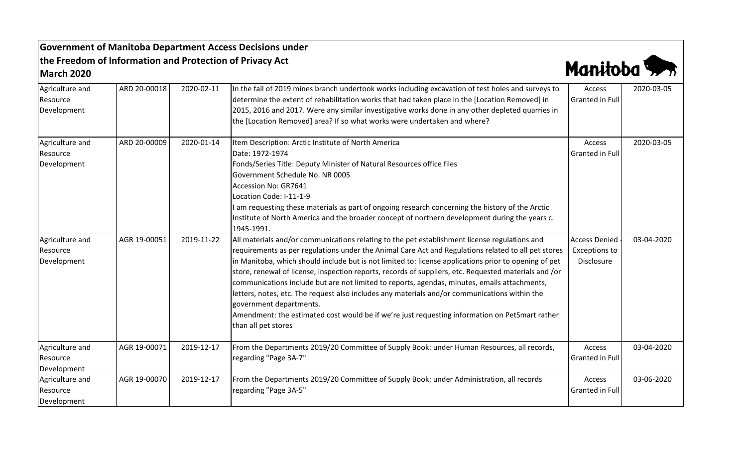## **Government of Manitoba Department Access Decisions under the Freedom of Information and Protection of Privacy Act March 2020**



| Agriculture and<br>Resource<br>Development | ARD 20-00018 | 2020-02-11 | In the fall of 2019 mines branch undertook works including excavation of test holes and surveys to<br>determine the extent of rehabilitation works that had taken place in the [Location Removed] in<br>2015, 2016 and 2017. Were any similar investigative works done in any other depleted quarries in<br>the [Location Removed] area? If so what works were undertaken and where?                                                                                                                                                                                                                                                                                                                                                                                        | Access<br><b>Granted in Full</b>                           | 2020-03-05 |
|--------------------------------------------|--------------|------------|-----------------------------------------------------------------------------------------------------------------------------------------------------------------------------------------------------------------------------------------------------------------------------------------------------------------------------------------------------------------------------------------------------------------------------------------------------------------------------------------------------------------------------------------------------------------------------------------------------------------------------------------------------------------------------------------------------------------------------------------------------------------------------|------------------------------------------------------------|------------|
| Agriculture and<br>Resource<br>Development | ARD 20-00009 | 2020-01-14 | Item Description: Arctic Institute of North America<br>Date: 1972-1974<br>Fonds/Series Title: Deputy Minister of Natural Resources office files<br>Government Schedule No. NR 0005<br>Accession No: GR7641<br>Location Code: I-11-1-9<br>am requesting these materials as part of ongoing research concerning the history of the Arctic<br>Institute of North America and the broader concept of northern development during the years c.<br>1945-1991.                                                                                                                                                                                                                                                                                                                     | Access<br>Granted in Full                                  | 2020-03-05 |
| Agriculture and<br>Resource<br>Development | AGR 19-00051 | 2019-11-22 | All materials and/or communications relating to the pet establishment license regulations and<br>requirements as per regulations under the Animal Care Act and Regulations related to all pet stores<br>in Manitoba, which should include but is not limited to: license applications prior to opening of pet<br>store, renewal of license, inspection reports, records of suppliers, etc. Requested materials and /or<br>communications include but are not limited to reports, agendas, minutes, emails attachments,<br>letters, notes, etc. The request also includes any materials and/or communications within the<br>government departments.<br>Amendment: the estimated cost would be if we're just requesting information on PetSmart rather<br>than all pet stores | <b>Access Denied</b><br><b>Exceptions to</b><br>Disclosure | 03-04-2020 |
| Agriculture and<br>Resource<br>Development | AGR 19-00071 | 2019-12-17 | From the Departments 2019/20 Committee of Supply Book: under Human Resources, all records,<br>regarding "Page 3A-7"                                                                                                                                                                                                                                                                                                                                                                                                                                                                                                                                                                                                                                                         | Access<br><b>Granted in Full</b>                           | 03-04-2020 |
| Agriculture and<br>Resource<br>Development | AGR 19-00070 | 2019-12-17 | From the Departments 2019/20 Committee of Supply Book: under Administration, all records<br>regarding "Page 3A-5"                                                                                                                                                                                                                                                                                                                                                                                                                                                                                                                                                                                                                                                           | Access<br>Granted in Full                                  | 03-06-2020 |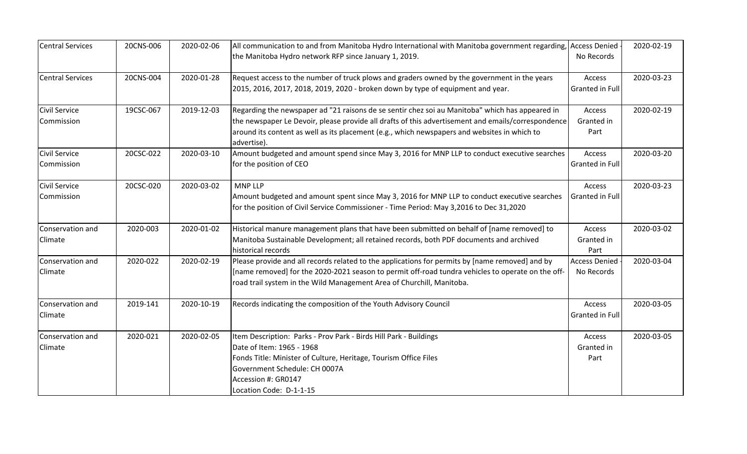| <b>Central Services</b> | 20CNS-006 | 2020-02-06 | All communication to and from Manitoba Hydro International with Manitoba government regarding, Access Denied |                      | 2020-02-19 |
|-------------------------|-----------|------------|--------------------------------------------------------------------------------------------------------------|----------------------|------------|
|                         |           |            | the Manitoba Hydro network RFP since January 1, 2019.                                                        | No Records           |            |
| <b>Central Services</b> | 20CNS-004 | 2020-01-28 | Request access to the number of truck plows and graders owned by the government in the years                 | Access               | 2020-03-23 |
|                         |           |            | 2015, 2016, 2017, 2018, 2019, 2020 - broken down by type of equipment and year.                              | Granted in Full      |            |
| Civil Service           | 19CSC-067 | 2019-12-03 | Regarding the newspaper ad "21 raisons de se sentir chez soi au Manitoba" which has appeared in              | Access               | 2020-02-19 |
| Commission              |           |            | the newspaper Le Devoir, please provide all drafts of this advertisement and emails/correspondence           | Granted in           |            |
|                         |           |            | around its content as well as its placement (e.g., which newspapers and websites in which to<br>advertise).  | Part                 |            |
| Civil Service           | 20CSC-022 | 2020-03-10 | Amount budgeted and amount spend since May 3, 2016 for MNP LLP to conduct executive searches                 | Access               | 2020-03-20 |
| Commission              |           |            | for the position of CEO                                                                                      | Granted in Full      |            |
| <b>Civil Service</b>    | 20CSC-020 | 2020-03-02 | <b>MNP LLP</b>                                                                                               | Access               | 2020-03-23 |
| Commission              |           |            | Amount budgeted and amount spent since May 3, 2016 for MNP LLP to conduct executive searches                 | Granted in Full      |            |
|                         |           |            | for the position of Civil Service Commissioner - Time Period: May 3,2016 to Dec 31,2020                      |                      |            |
| Conservation and        | 2020-003  | 2020-01-02 | Historical manure management plans that have been submitted on behalf of [name removed] to                   | Access               | 2020-03-02 |
| Climate                 |           |            | Manitoba Sustainable Development; all retained records, both PDF documents and archived                      | Granted in           |            |
|                         |           |            | historical records                                                                                           | Part                 |            |
| Conservation and        | 2020-022  | 2020-02-19 | Please provide and all records related to the applications for permits by [name removed] and by              | <b>Access Denied</b> | 2020-03-04 |
| Climate                 |           |            | [name removed] for the 2020-2021 season to permit off-road tundra vehicles to operate on the off-            | No Records           |            |
|                         |           |            | road trail system in the Wild Management Area of Churchill, Manitoba.                                        |                      |            |
| Conservation and        | 2019-141  | 2020-10-19 | Records indicating the composition of the Youth Advisory Council                                             | Access               | 2020-03-05 |
| Climate                 |           |            |                                                                                                              | Granted in Full      |            |
| Conservation and        | 2020-021  | 2020-02-05 | Item Description: Parks - Prov Park - Birds Hill Park - Buildings                                            | Access               | 2020-03-05 |
| Climate                 |           |            | Date of Item: 1965 - 1968                                                                                    | Granted in           |            |
|                         |           |            | Fonds Title: Minister of Culture, Heritage, Tourism Office Files                                             | Part                 |            |
|                         |           |            | Government Schedule: CH 0007A                                                                                |                      |            |
|                         |           |            | Accession #: GR0147                                                                                          |                      |            |
|                         |           |            | Location Code: D-1-1-15                                                                                      |                      |            |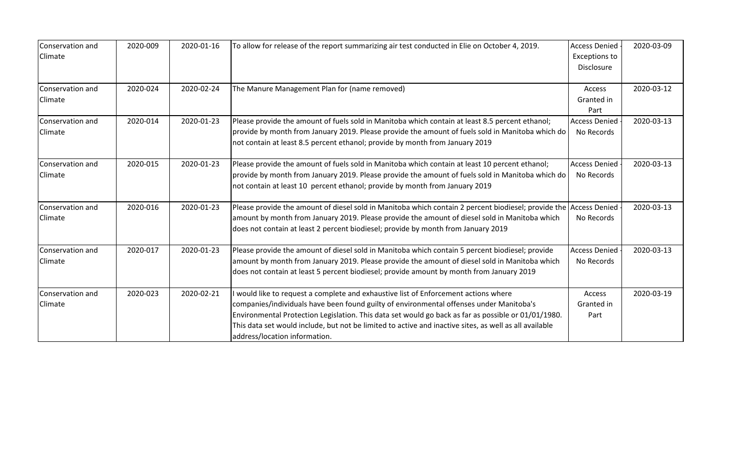| Conservation and<br>Climate | 2020-009 | 2020-01-16 | To allow for release of the report summarizing air test conducted in Elie on October 4, 2019.                                                                                                                                                                                                                                                                                                                                  | <b>Access Denied</b><br><b>Exceptions to</b><br>Disclosure | 2020-03-09 |
|-----------------------------|----------|------------|--------------------------------------------------------------------------------------------------------------------------------------------------------------------------------------------------------------------------------------------------------------------------------------------------------------------------------------------------------------------------------------------------------------------------------|------------------------------------------------------------|------------|
| Conservation and<br>Climate | 2020-024 | 2020-02-24 | The Manure Management Plan for (name removed)                                                                                                                                                                                                                                                                                                                                                                                  | Access<br>Granted in<br>Part                               | 2020-03-12 |
| Conservation and<br>Climate | 2020-014 | 2020-01-23 | Please provide the amount of fuels sold in Manitoba which contain at least 8.5 percent ethanol;<br>provide by month from January 2019. Please provide the amount of fuels sold in Manitoba which do<br>not contain at least 8.5 percent ethanol; provide by month from January 2019                                                                                                                                            | <b>Access Denied</b><br>No Records                         | 2020-03-13 |
| Conservation and<br>Climate | 2020-015 | 2020-01-23 | Please provide the amount of fuels sold in Manitoba which contain at least 10 percent ethanol;<br>provide by month from January 2019. Please provide the amount of fuels sold in Manitoba which do<br>not contain at least 10 percent ethanol; provide by month from January 2019                                                                                                                                              | <b>Access Denied</b><br>No Records                         | 2020-03-13 |
| Conservation and<br>Climate | 2020-016 | 2020-01-23 | Please provide the amount of diesel sold in Manitoba which contain 2 percent biodiesel; provide the Access Denied<br>amount by month from January 2019. Please provide the amount of diesel sold in Manitoba which<br>does not contain at least 2 percent biodiesel; provide by month from January 2019                                                                                                                        | No Records                                                 | 2020-03-13 |
| Conservation and<br>Climate | 2020-017 | 2020-01-23 | Please provide the amount of diesel sold in Manitoba which contain 5 percent biodiesel; provide<br>amount by month from January 2019. Please provide the amount of diesel sold in Manitoba which<br>does not contain at least 5 percent biodiesel; provide amount by month from January 2019                                                                                                                                   | <b>Access Denied</b><br>No Records                         | 2020-03-13 |
| Conservation and<br>Climate | 2020-023 | 2020-02-21 | would like to request a complete and exhaustive list of Enforcement actions where<br>companies/individuals have been found guilty of environmental offenses under Manitoba's<br>Environmental Protection Legislation. This data set would go back as far as possible or 01/01/1980.<br>This data set would include, but not be limited to active and inactive sites, as well as all available<br>address/location information. | Access<br>Granted in<br>Part                               | 2020-03-19 |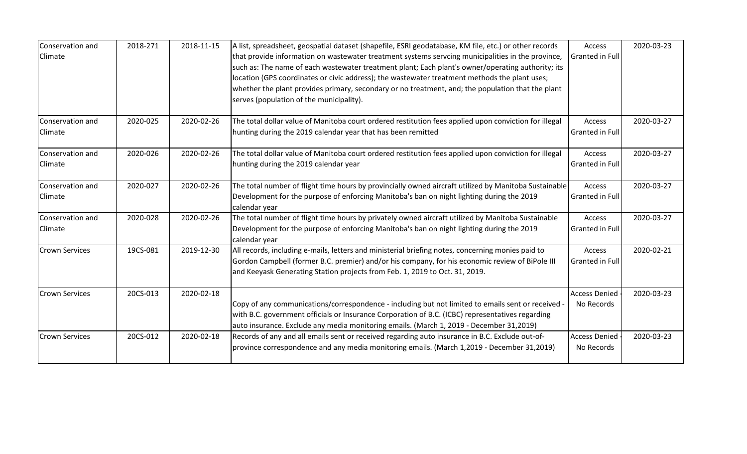| Conservation and      | 2018-271 | 2018-11-15 | A list, spreadsheet, geospatial dataset (shapefile, ESRI geodatabase, KM file, etc.) or other records      | Access               | 2020-03-23 |
|-----------------------|----------|------------|------------------------------------------------------------------------------------------------------------|----------------------|------------|
| Climate               |          |            | that provide information on wastewater treatment systems servcing municipalities in the province,          | Granted in Full      |            |
|                       |          |            | such as: The name of each wastewater treatment plant; Each plant's owner/operating authority; its          |                      |            |
|                       |          |            | location (GPS coordinates or civic address); the wastewater treatment methods the plant uses;              |                      |            |
|                       |          |            | whether the plant provides primary, secondary or no treatment, and; the population that the plant          |                      |            |
|                       |          |            | serves (population of the municipality).                                                                   |                      |            |
| Conservation and      | 2020-025 | 2020-02-26 | The total dollar value of Manitoba court ordered restitution fees applied upon conviction for illegal      | Access               | 2020-03-27 |
| <b>Climate</b>        |          |            | hunting during the 2019 calendar year that has been remitted                                               | Granted in Full      |            |
| Conservation and      | 2020-026 | 2020-02-26 | The total dollar value of Manitoba court ordered restitution fees applied upon conviction for illegal      | Access               | 2020-03-27 |
| Climate               |          |            | hunting during the 2019 calendar year                                                                      | Granted in Full      |            |
| Conservation and      | 2020-027 | 2020-02-26 | The total number of flight time hours by provincially owned aircraft utilized by Manitoba Sustainable      | Access               | 2020-03-27 |
| Climate               |          |            | Development for the purpose of enforcing Manitoba's ban on night lighting during the 2019                  | Granted in Full      |            |
|                       |          |            | calendar year                                                                                              |                      |            |
| Conservation and      | 2020-028 | 2020-02-26 | The total number of flight time hours by privately owned aircraft utilized by Manitoba Sustainable         | Access               | 2020-03-27 |
| Climate               |          |            | Development for the purpose of enforcing Manitoba's ban on night lighting during the 2019<br>calendar year | Granted in Full      |            |
| <b>Crown Services</b> | 19CS-081 | 2019-12-30 | All records, including e-mails, letters and ministerial briefing notes, concerning monies paid to          | Access               | 2020-02-21 |
|                       |          |            | Gordon Campbell (former B.C. premier) and/or his company, for his economic review of BiPole III            | Granted in Full      |            |
|                       |          |            | and Keeyask Generating Station projects from Feb. 1, 2019 to Oct. 31, 2019.                                |                      |            |
| <b>Crown Services</b> | 20CS-013 | 2020-02-18 |                                                                                                            | <b>Access Denied</b> | 2020-03-23 |
|                       |          |            | Copy of any communications/correspondence - including but not limited to emails sent or received -         | No Records           |            |
|                       |          |            | with B.C. government officials or Insurance Corporation of B.C. (ICBC) representatives regarding           |                      |            |
|                       |          |            | auto insurance. Exclude any media monitoring emails. (March 1, 2019 - December 31,2019)                    |                      |            |
| <b>Crown Services</b> | 20CS-012 | 2020-02-18 | Records of any and all emails sent or received regarding auto insurance in B.C. Exclude out-of-            | <b>Access Denied</b> | 2020-03-23 |
|                       |          |            | province correspondence and any media monitoring emails. (March 1,2019 - December 31,2019)                 | No Records           |            |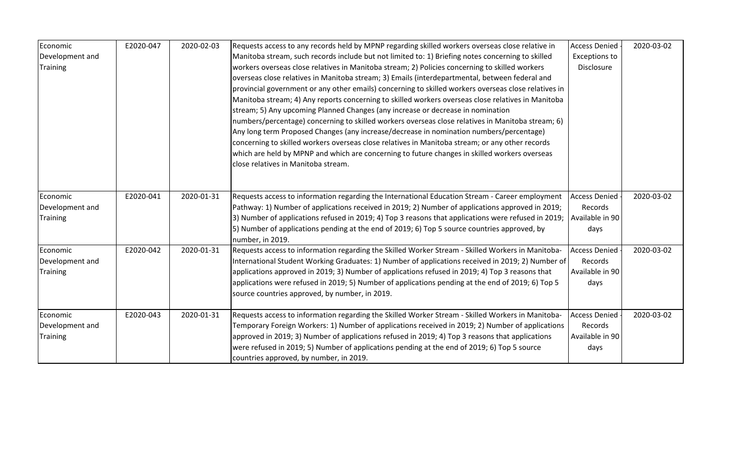| Economic                                       | E2020-047 | 2020-02-03 | Requests access to any records held by MPNP regarding skilled workers overseas close relative in                                                                                                                                                                                                                                                                                                                                                                                                                                                                                                                                                                                                                                                                                                                                                                                                                                             | <b>Access Denied</b>                                       | 2020-03-02 |
|------------------------------------------------|-----------|------------|----------------------------------------------------------------------------------------------------------------------------------------------------------------------------------------------------------------------------------------------------------------------------------------------------------------------------------------------------------------------------------------------------------------------------------------------------------------------------------------------------------------------------------------------------------------------------------------------------------------------------------------------------------------------------------------------------------------------------------------------------------------------------------------------------------------------------------------------------------------------------------------------------------------------------------------------|------------------------------------------------------------|------------|
| Development and                                |           |            | Manitoba stream, such records include but not limited to: 1) Briefing notes concerning to skilled                                                                                                                                                                                                                                                                                                                                                                                                                                                                                                                                                                                                                                                                                                                                                                                                                                            | <b>Exceptions to</b>                                       |            |
| <b>Training</b>                                |           |            | workers overseas close relatives in Manitoba stream; 2) Policies concerning to skilled workers<br>overseas close relatives in Manitoba stream; 3) Emails (interdepartmental, between federal and<br>provincial government or any other emails) concerning to skilled workers overseas close relatives in<br>Manitoba stream; 4) Any reports concerning to skilled workers overseas close relatives in Manitoba<br>stream; 5) Any upcoming Planned Changes (any increase or decrease in nomination<br>numbers/percentage) concerning to skilled workers overseas close relatives in Manitoba stream; 6)<br>Any long term Proposed Changes (any increase/decrease in nomination numbers/percentage)<br>concerning to skilled workers overseas close relatives in Manitoba stream; or any other records<br>which are held by MPNP and which are concerning to future changes in skilled workers overseas<br>close relatives in Manitoba stream. | Disclosure                                                 |            |
| Economic<br>Development and<br><b>Training</b> | E2020-041 | 2020-01-31 | Requests access to information regarding the International Education Stream - Career employment<br>Pathway: 1) Number of applications received in 2019; 2) Number of applications approved in 2019;<br>3) Number of applications refused in 2019; 4) Top 3 reasons that applications were refused in 2019;<br>[5] Number of applications pending at the end of 2019; 6) Top 5 source countries approved, by<br>number, in 2019.                                                                                                                                                                                                                                                                                                                                                                                                                                                                                                              | <b>Access Denied</b><br>Records<br>Available in 90<br>days | 2020-03-02 |
| Economic<br>Development and<br><b>Training</b> | E2020-042 | 2020-01-31 | Requests access to information regarding the Skilled Worker Stream - Skilled Workers in Manitoba-<br>International Student Working Graduates: 1) Number of applications received in 2019; 2) Number of<br>applications approved in 2019; 3) Number of applications refused in 2019; 4) Top 3 reasons that<br>applications were refused in 2019; 5) Number of applications pending at the end of 2019; 6) Top 5<br>source countries approved, by number, in 2019.                                                                                                                                                                                                                                                                                                                                                                                                                                                                             | <b>Access Denied</b><br>Records<br>Available in 90<br>days | 2020-03-02 |
| Economic<br>Development and<br><b>Training</b> | E2020-043 | 2020-01-31 | Requests access to information regarding the Skilled Worker Stream - Skilled Workers in Manitoba-<br>Temporary Foreign Workers: 1) Number of applications received in 2019; 2) Number of applications<br>approved in 2019; 3) Number of applications refused in 2019; 4) Top 3 reasons that applications<br>were refused in 2019; 5) Number of applications pending at the end of 2019; 6) Top 5 source<br>countries approved, by number, in 2019.                                                                                                                                                                                                                                                                                                                                                                                                                                                                                           | <b>Access Denied</b><br>Records<br>Available in 90<br>days | 2020-03-02 |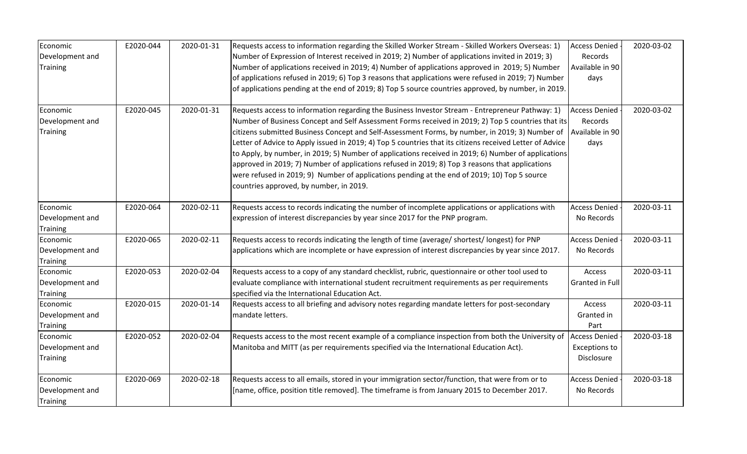| Economic<br>Development and<br>Training        | E2020-044 | 2020-01-31 | Requests access to information regarding the Skilled Worker Stream - Skilled Workers Overseas: 1)<br>Number of Expression of Interest received in 2019; 2) Number of applications invited in 2019; 3)<br>Number of applications received in 2019; 4) Number of applications approved in 2019; 5) Number<br>of applications refused in 2019; 6) Top 3 reasons that applications were refused in 2019; 7) Number<br>of applications pending at the end of 2019; 8) Top 5 source countries approved, by number, in 2019.                                                                                                                                                                                                                                                      | <b>Access Denied</b><br>Records<br>Available in 90<br>days | 2020-03-02 |
|------------------------------------------------|-----------|------------|----------------------------------------------------------------------------------------------------------------------------------------------------------------------------------------------------------------------------------------------------------------------------------------------------------------------------------------------------------------------------------------------------------------------------------------------------------------------------------------------------------------------------------------------------------------------------------------------------------------------------------------------------------------------------------------------------------------------------------------------------------------------------|------------------------------------------------------------|------------|
| Economic<br>Development and<br><b>Training</b> | E2020-045 | 2020-01-31 | Requests access to information regarding the Business Investor Stream - Entrepreneur Pathway: 1)<br>Number of Business Concept and Self Assessment Forms received in 2019; 2) Top 5 countries that its<br>citizens submitted Business Concept and Self-Assessment Forms, by number, in 2019; 3) Number of<br>Letter of Advice to Apply issued in 2019; 4) Top 5 countries that its citizens received Letter of Advice<br>to Apply, by number, in 2019; 5) Number of applications received in 2019; 6) Number of applications<br>approved in 2019; 7) Number of applications refused in 2019; 8) Top 3 reasons that applications<br>were refused in 2019; 9) Number of applications pending at the end of 2019; 10) Top 5 source<br>countries approved, by number, in 2019. | <b>Access Denied</b><br>Records<br>Available in 90<br>days | 2020-03-02 |
| Economic<br>Development and<br>Training        | E2020-064 | 2020-02-11 | Requests access to records indicating the number of incomplete applications or applications with<br>expression of interest discrepancies by year since 2017 for the PNP program.                                                                                                                                                                                                                                                                                                                                                                                                                                                                                                                                                                                           | <b>Access Denied</b><br>No Records                         | 2020-03-11 |
| Economic<br>Development and<br>Training        | E2020-065 | 2020-02-11 | Requests access to records indicating the length of time (average/ shortest/longest) for PNP<br>applications which are incomplete or have expression of interest discrepancies by year since 2017.                                                                                                                                                                                                                                                                                                                                                                                                                                                                                                                                                                         | <b>Access Denied</b><br>No Records                         | 2020-03-11 |
| Economic<br>Development and<br><b>Training</b> | E2020-053 | 2020-02-04 | Requests access to a copy of any standard checklist, rubric, questionnaire or other tool used to<br>evaluate compliance with international student recruitment requirements as per requirements<br>specified via the International Education Act.                                                                                                                                                                                                                                                                                                                                                                                                                                                                                                                          | Access<br>Granted in Full                                  | 2020-03-11 |
| Economic<br>Development and<br><b>Training</b> | E2020-015 | 2020-01-14 | Requests access to all briefing and advisory notes regarding mandate letters for post-secondary<br>mandate letters.                                                                                                                                                                                                                                                                                                                                                                                                                                                                                                                                                                                                                                                        | Access<br>Granted in<br>Part                               | 2020-03-11 |
| Economic<br>Development and<br><b>Training</b> | E2020-052 | 2020-02-04 | Requests access to the most recent example of a compliance inspection from both the University of<br>Manitoba and MITT (as per requirements specified via the International Education Act).                                                                                                                                                                                                                                                                                                                                                                                                                                                                                                                                                                                | <b>Access Denied</b><br>Exceptions to<br>Disclosure        | 2020-03-18 |
| Economic<br>Development and<br><b>Training</b> | E2020-069 | 2020-02-18 | Requests access to all emails, stored in your immigration sector/function, that were from or to<br>[name, office, position title removed]. The timeframe is from January 2015 to December 2017.                                                                                                                                                                                                                                                                                                                                                                                                                                                                                                                                                                            | <b>Access Denied</b><br>No Records                         | 2020-03-18 |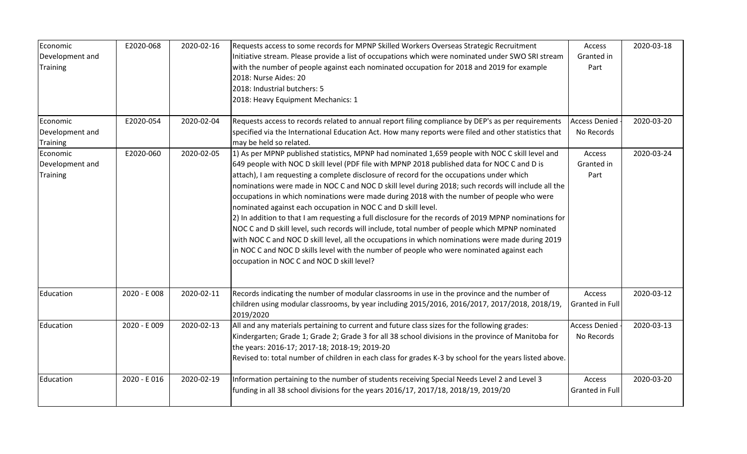| Economic        | E2020-068    | 2020-02-16 | Requests access to some records for MPNP Skilled Workers Overseas Strategic Recruitment                 | Access               | 2020-03-18 |
|-----------------|--------------|------------|---------------------------------------------------------------------------------------------------------|----------------------|------------|
| Development and |              |            | Initiative stream. Please provide a list of occupations which were nominated under SWO SRI stream       | Granted in           |            |
| <b>Training</b> |              |            | with the number of people against each nominated occupation for 2018 and 2019 for example               | Part                 |            |
|                 |              |            | 2018: Nurse Aides: 20                                                                                   |                      |            |
|                 |              |            | 2018: Industrial butchers: 5                                                                            |                      |            |
|                 |              |            | 2018: Heavy Equipment Mechanics: 1                                                                      |                      |            |
|                 |              |            |                                                                                                         |                      |            |
| Economic        | E2020-054    | 2020-02-04 | Requests access to records related to annual report filing compliance by DEP's as per requirements      | <b>Access Denied</b> | 2020-03-20 |
| Development and |              |            | specified via the International Education Act. How many reports were filed and other statistics that    | No Records           |            |
| Training        |              |            | may be held so related.                                                                                 |                      |            |
| Economic        | E2020-060    | 2020-02-05 | 1) As per MPNP published statistics, MPNP had nominated 1,659 people with NOC C skill level and         | Access               | 2020-03-24 |
| Development and |              |            | 649 people with NOC D skill level (PDF file with MPNP 2018 published data for NOC C and D is            | Granted in           |            |
| <b>Training</b> |              |            | attach), I am requesting a complete disclosure of record for the occupations under which                | Part                 |            |
|                 |              |            | nominations were made in NOC C and NOC D skill level during 2018; such records will include all the     |                      |            |
|                 |              |            | occupations in which nominations were made during 2018 with the number of people who were               |                      |            |
|                 |              |            | nominated against each occupation in NOC C and D skill level.                                           |                      |            |
|                 |              |            | 2) In addition to that I am requesting a full disclosure for the records of 2019 MPNP nominations for   |                      |            |
|                 |              |            | NOC C and D skill level, such records will include, total number of people which MPNP nominated         |                      |            |
|                 |              |            | with NOC C and NOC D skill level, all the occupations in which nominations were made during 2019        |                      |            |
|                 |              |            | in NOC C and NOC D skills level with the number of people who were nominated against each               |                      |            |
|                 |              |            | occupation in NOC C and NOC D skill level?                                                              |                      |            |
|                 |              |            |                                                                                                         |                      |            |
| Education       | 2020 - E 008 | 2020-02-11 | Records indicating the number of modular classrooms in use in the province and the number of            | Access               | 2020-03-12 |
|                 |              |            | children using modular classrooms, by year including 2015/2016, 2016/2017, 2017/2018, 2018/19,          | Granted in Full      |            |
|                 |              |            | 2019/2020                                                                                               |                      |            |
| Education       | 2020 - E 009 | 2020-02-13 | All and any materials pertaining to current and future class sizes for the following grades:            | <b>Access Denied</b> | 2020-03-13 |
|                 |              |            | Kindergarten; Grade 1; Grade 2; Grade 3 for all 38 school divisions in the province of Manitoba for     | No Records           |            |
|                 |              |            | the years: 2016-17; 2017-18; 2018-19; 2019-20                                                           |                      |            |
|                 |              |            | Revised to: total number of children in each class for grades K-3 by school for the years listed above. |                      |            |
| Education       | 2020 - E 016 | 2020-02-19 | Information pertaining to the number of students receiving Special Needs Level 2 and Level 3            | Access               | 2020-03-20 |
|                 |              |            | funding in all 38 school divisions for the years 2016/17, 2017/18, 2018/19, 2019/20                     | Granted in Full      |            |
|                 |              |            |                                                                                                         |                      |            |
|                 |              |            |                                                                                                         |                      |            |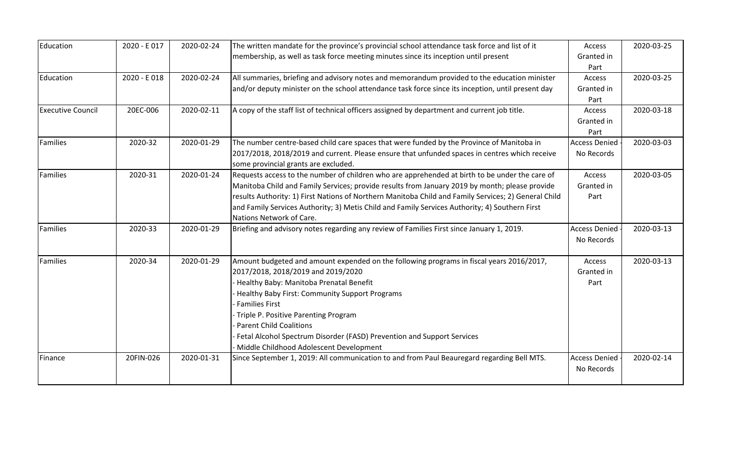| Education                | 2020 - E017  | 2020-02-24 | The written mandate for the province's provincial school attendance task force and list of it        | Access               | 2020-03-25 |
|--------------------------|--------------|------------|------------------------------------------------------------------------------------------------------|----------------------|------------|
|                          |              |            | membership, as well as task force meeting minutes since its inception until present                  | Granted in           |            |
|                          |              |            |                                                                                                      | Part                 |            |
| Education                | 2020 - E 018 | 2020-02-24 | All summaries, briefing and advisory notes and memorandum provided to the education minister         | Access               | 2020-03-25 |
|                          |              |            | and/or deputy minister on the school attendance task force since its inception, until present day    | Granted in           |            |
|                          |              |            |                                                                                                      | Part                 |            |
| <b>Executive Council</b> | 20EC-006     | 2020-02-11 | A copy of the staff list of technical officers assigned by department and current job title.         | Access               | 2020-03-18 |
|                          |              |            |                                                                                                      | Granted in           |            |
|                          |              |            |                                                                                                      | Part                 |            |
| <b>Families</b>          | 2020-32      | 2020-01-29 | The number centre-based child care spaces that were funded by the Province of Manitoba in            | <b>Access Denied</b> | 2020-03-03 |
|                          |              |            | 2017/2018, 2018/2019 and current. Please ensure that unfunded spaces in centres which receive        | No Records           |            |
|                          |              |            | some provincial grants are excluded.                                                                 |                      |            |
| Families                 | 2020-31      | 2020-01-24 | Requests access to the number of children who are apprehended at birth to be under the care of       | Access               | 2020-03-05 |
|                          |              |            | Manitoba Child and Family Services; provide results from January 2019 by month; please provide       | Granted in           |            |
|                          |              |            | results Authority: 1) First Nations of Northern Manitoba Child and Family Services; 2) General Child | Part                 |            |
|                          |              |            | and Family Services Authority; 3) Metis Child and Family Services Authority; 4) Southern First       |                      |            |
|                          |              |            | Nations Network of Care.                                                                             |                      |            |
| Families                 | 2020-33      | 2020-01-29 | Briefing and advisory notes regarding any review of Families First since January 1, 2019.            | <b>Access Denied</b> | 2020-03-13 |
|                          |              |            |                                                                                                      | No Records           |            |
|                          |              |            |                                                                                                      |                      |            |
| Families                 | 2020-34      | 2020-01-29 | Amount budgeted and amount expended on the following programs in fiscal years 2016/2017,             | Access               | 2020-03-13 |
|                          |              |            | 2017/2018, 2018/2019 and 2019/2020                                                                   | Granted in           |            |
|                          |              |            | Healthy Baby: Manitoba Prenatal Benefit                                                              | Part                 |            |
|                          |              |            | Healthy Baby First: Community Support Programs                                                       |                      |            |
|                          |              |            | <b>Families First</b>                                                                                |                      |            |
|                          |              |            | Triple P. Positive Parenting Program                                                                 |                      |            |
|                          |              |            | <b>Parent Child Coalitions</b>                                                                       |                      |            |
|                          |              |            | Fetal Alcohol Spectrum Disorder (FASD) Prevention and Support Services                               |                      |            |
|                          |              |            | Middle Childhood Adolescent Development                                                              |                      |            |
| Finance                  | 20FIN-026    | 2020-01-31 | Since September 1, 2019: All communication to and from Paul Beauregard regarding Bell MTS.           | <b>Access Denied</b> | 2020-02-14 |
|                          |              |            |                                                                                                      | No Records           |            |
|                          |              |            |                                                                                                      |                      |            |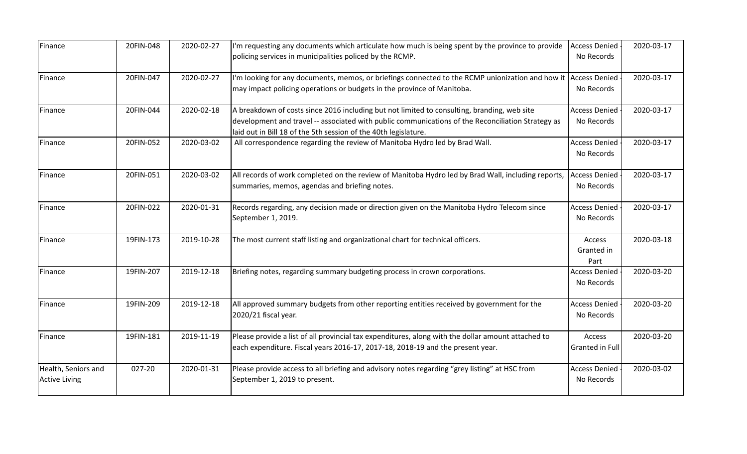| Finance              | 20FIN-048 | 2020-02-27 | I'm requesting any documents which articulate how much is being spent by the province to provide                                                                     | <b>Access Denied</b><br>No Records | 2020-03-17 |
|----------------------|-----------|------------|----------------------------------------------------------------------------------------------------------------------------------------------------------------------|------------------------------------|------------|
|                      |           |            | policing services in municipalities policed by the RCMP.                                                                                                             |                                    |            |
| Finance              | 20FIN-047 | 2020-02-27 | I'm looking for any documents, memos, or briefings connected to the RCMP unionization and how it Access Denied                                                       |                                    | 2020-03-17 |
|                      |           |            | may impact policing operations or budgets in the province of Manitoba.                                                                                               | No Records                         |            |
| Finance              | 20FIN-044 | 2020-02-18 | A breakdown of costs since 2016 including but not limited to consulting, branding, web site                                                                          | <b>Access Denied</b>               | 2020-03-17 |
|                      |           |            | development and travel -- associated with public communications of the Reconciliation Strategy as<br>laid out in Bill 18 of the 5th session of the 40th legislature. | No Records                         |            |
| Finance              | 20FIN-052 | 2020-03-02 | All correspondence regarding the review of Manitoba Hydro led by Brad Wall.                                                                                          | <b>Access Denied</b>               | 2020-03-17 |
|                      |           |            |                                                                                                                                                                      | No Records                         |            |
| Finance              | 20FIN-051 | 2020-03-02 | All records of work completed on the review of Manitoba Hydro led by Brad Wall, including reports,                                                                   | <b>Access Denied</b>               | 2020-03-17 |
|                      |           |            | summaries, memos, agendas and briefing notes.                                                                                                                        | No Records                         |            |
| Finance              | 20FIN-022 | 2020-01-31 | Records regarding, any decision made or direction given on the Manitoba Hydro Telecom since                                                                          | <b>Access Denied</b>               | 2020-03-17 |
|                      |           |            | September 1, 2019.                                                                                                                                                   | No Records                         |            |
| Finance              | 19FIN-173 | 2019-10-28 | The most current staff listing and organizational chart for technical officers.                                                                                      | Access                             | 2020-03-18 |
|                      |           |            |                                                                                                                                                                      | Granted in<br>Part                 |            |
| Finance              | 19FIN-207 | 2019-12-18 | Briefing notes, regarding summary budgeting process in crown corporations.                                                                                           | <b>Access Denied</b>               | 2020-03-20 |
|                      |           |            |                                                                                                                                                                      | No Records                         |            |
| Finance              | 19FIN-209 | 2019-12-18 | All approved summary budgets from other reporting entities received by government for the                                                                            | <b>Access Denied</b>               | 2020-03-20 |
|                      |           |            | 2020/21 fiscal year.                                                                                                                                                 | No Records                         |            |
| Finance              | 19FIN-181 | 2019-11-19 | Please provide a list of all provincial tax expenditures, along with the dollar amount attached to                                                                   | Access                             | 2020-03-20 |
|                      |           |            | each expenditure. Fiscal years 2016-17, 2017-18, 2018-19 and the present year.                                                                                       | Granted in Full                    |            |
| Health, Seniors and  | 027-20    | 2020-01-31 | Please provide access to all briefing and advisory notes regarding "grey listing" at HSC from                                                                        | <b>Access Denied</b>               | 2020-03-02 |
| <b>Active Living</b> |           |            | September 1, 2019 to present.                                                                                                                                        | No Records                         |            |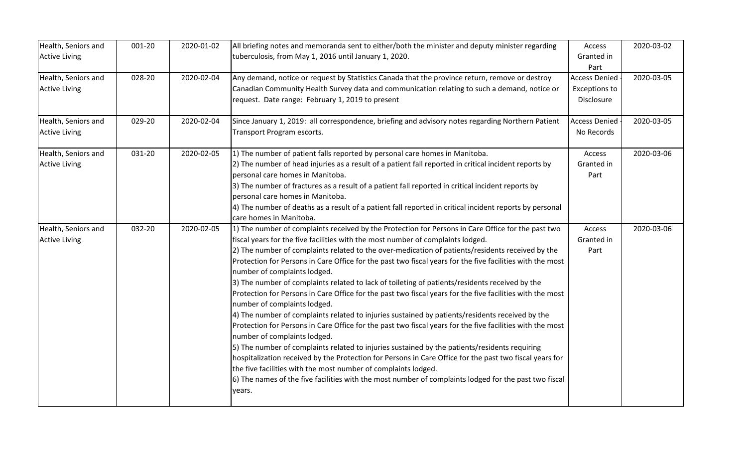| Health, Seniors and  | 001-20 | 2020-01-02 | All briefing notes and memoranda sent to either/both the minister and deputy minister regarding                                           | Access               | 2020-03-02 |
|----------------------|--------|------------|-------------------------------------------------------------------------------------------------------------------------------------------|----------------------|------------|
| <b>Active Living</b> |        |            | tuberculosis, from May 1, 2016 until January 1, 2020.                                                                                     | Granted in           |            |
|                      |        |            |                                                                                                                                           | Part                 |            |
| Health, Seniors and  | 028-20 | 2020-02-04 | Any demand, notice or request by Statistics Canada that the province return, remove or destroy                                            | <b>Access Denied</b> | 2020-03-05 |
| <b>Active Living</b> |        |            | Canadian Community Health Survey data and communication relating to such a demand, notice or                                              | <b>Exceptions to</b> |            |
|                      |        |            | request. Date range: February 1, 2019 to present                                                                                          | Disclosure           |            |
| Health, Seniors and  | 029-20 | 2020-02-04 | Since January 1, 2019: all correspondence, briefing and advisory notes regarding Northern Patient                                         | <b>Access Denied</b> | 2020-03-05 |
| <b>Active Living</b> |        |            | Transport Program escorts.                                                                                                                | No Records           |            |
| Health, Seniors and  | 031-20 | 2020-02-05 | 1) The number of patient falls reported by personal care homes in Manitoba.                                                               | Access               | 2020-03-06 |
| <b>Active Living</b> |        |            | 2) The number of head injuries as a result of a patient fall reported in critical incident reports by                                     | Granted in           |            |
|                      |        |            | personal care homes in Manitoba.                                                                                                          | Part                 |            |
|                      |        |            | 3) The number of fractures as a result of a patient fall reported in critical incident reports by                                         |                      |            |
|                      |        |            | personal care homes in Manitoba.                                                                                                          |                      |            |
|                      |        |            | 4) The number of deaths as a result of a patient fall reported in critical incident reports by personal                                   |                      |            |
|                      |        |            | care homes in Manitoba.                                                                                                                   |                      |            |
| Health, Seniors and  | 032-20 | 2020-02-05 | 1) The number of complaints received by the Protection for Persons in Care Office for the past two                                        | Access               | 2020-03-06 |
| <b>Active Living</b> |        |            | fiscal years for the five facilities with the most number of complaints lodged.                                                           | Granted in           |            |
|                      |        |            | 2) The number of complaints related to the over-medication of patients/residents received by the                                          | Part                 |            |
|                      |        |            | Protection for Persons in Care Office for the past two fiscal years for the five facilities with the most<br>number of complaints lodged. |                      |            |
|                      |        |            | 3) The number of complaints related to lack of toileting of patients/residents received by the                                            |                      |            |
|                      |        |            | Protection for Persons in Care Office for the past two fiscal years for the five facilities with the most<br>number of complaints lodged. |                      |            |
|                      |        |            | 4) The number of complaints related to injuries sustained by patients/residents received by the                                           |                      |            |
|                      |        |            | Protection for Persons in Care Office for the past two fiscal years for the five facilities with the most                                 |                      |            |
|                      |        |            | number of complaints lodged.                                                                                                              |                      |            |
|                      |        |            | 5) The number of complaints related to injuries sustained by the patients/residents requiring                                             |                      |            |
|                      |        |            | hospitalization received by the Protection for Persons in Care Office for the past two fiscal years for                                   |                      |            |
|                      |        |            | the five facilities with the most number of complaints lodged.                                                                            |                      |            |
|                      |        |            | 6) The names of the five facilities with the most number of complaints lodged for the past two fiscal                                     |                      |            |
|                      |        |            | years.                                                                                                                                    |                      |            |
|                      |        |            |                                                                                                                                           |                      |            |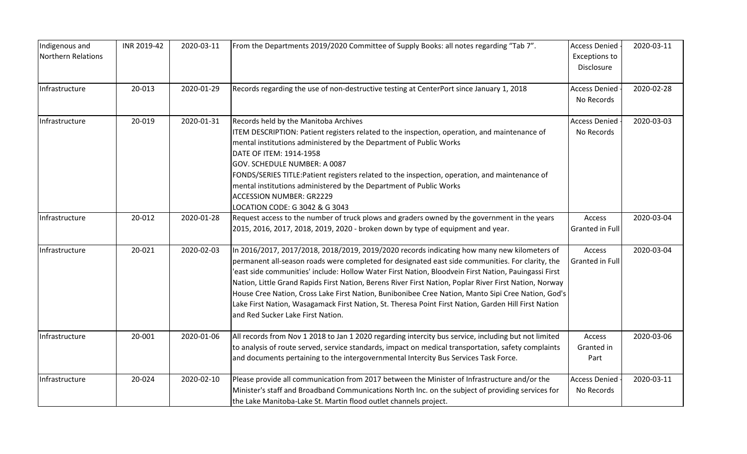| Indigenous and<br>Northern Relations | INR 2019-42 | 2020-03-11 | From the Departments 2019/2020 Committee of Supply Books: all notes regarding "Tab 7".                                                                                                                                                                                                                                                                                                                                                                                                                                                                                                                                                                              | <b>Access Denied</b><br><b>Exceptions to</b><br>Disclosure | 2020-03-11 |
|--------------------------------------|-------------|------------|---------------------------------------------------------------------------------------------------------------------------------------------------------------------------------------------------------------------------------------------------------------------------------------------------------------------------------------------------------------------------------------------------------------------------------------------------------------------------------------------------------------------------------------------------------------------------------------------------------------------------------------------------------------------|------------------------------------------------------------|------------|
| Infrastructure                       | 20-013      | 2020-01-29 | Records regarding the use of non-destructive testing at CenterPort since January 1, 2018                                                                                                                                                                                                                                                                                                                                                                                                                                                                                                                                                                            | <b>Access Denied</b><br>No Records                         | 2020-02-28 |
| Infrastructure                       | 20-019      | 2020-01-31 | Records held by the Manitoba Archives<br>ITEM DESCRIPTION: Patient registers related to the inspection, operation, and maintenance of<br>mental institutions administered by the Department of Public Works<br>DATE OF ITEM: 1914-1958<br>GOV. SCHEDULE NUMBER: A 0087<br>FONDS/SERIES TITLE:Patient registers related to the inspection, operation, and maintenance of<br>mental institutions administered by the Department of Public Works<br><b>ACCESSION NUMBER: GR2229</b><br>LOCATION CODE: G 3042 & G 3043                                                                                                                                                  | <b>Access Denied</b><br>No Records                         | 2020-03-03 |
| Infrastructure                       | 20-012      | 2020-01-28 | Request access to the number of truck plows and graders owned by the government in the years<br>2015, 2016, 2017, 2018, 2019, 2020 - broken down by type of equipment and year.                                                                                                                                                                                                                                                                                                                                                                                                                                                                                     | Access<br>Granted in Full                                  | 2020-03-04 |
| Infrastructure                       | 20-021      | 2020-02-03 | In 2016/2017, 2017/2018, 2018/2019, 2019/2020 records indicating how many new kilometers of<br>permanent all-season roads were completed for designated east side communities. For clarity, the<br>east side communities' include: Hollow Water First Nation, Bloodvein First Nation, Pauingassi First<br>Nation, Little Grand Rapids First Nation, Berens River First Nation, Poplar River First Nation, Norway<br>House Cree Nation, Cross Lake First Nation, Bunibonibee Cree Nation, Manto Sipi Cree Nation, God's<br>Lake First Nation, Wasagamack First Nation, St. Theresa Point First Nation, Garden Hill First Nation<br>and Red Sucker Lake First Nation. | Access<br>Granted in Full                                  | 2020-03-04 |
| Infrastructure                       | 20-001      | 2020-01-06 | All records from Nov 1 2018 to Jan 1 2020 regarding intercity bus service, including but not limited<br>to analysis of route served, service standards, impact on medical transportation, safety complaints<br>and documents pertaining to the intergovernmental Intercity Bus Services Task Force.                                                                                                                                                                                                                                                                                                                                                                 | Access<br>Granted in<br>Part                               | 2020-03-06 |
| Infrastructure                       | 20-024      | 2020-02-10 | Please provide all communication from 2017 between the Minister of Infrastructure and/or the<br>Minister's staff and Broadband Communications North Inc. on the subject of providing services for<br>the Lake Manitoba-Lake St. Martin flood outlet channels project.                                                                                                                                                                                                                                                                                                                                                                                               | <b>Access Denied</b><br>No Records                         | 2020-03-11 |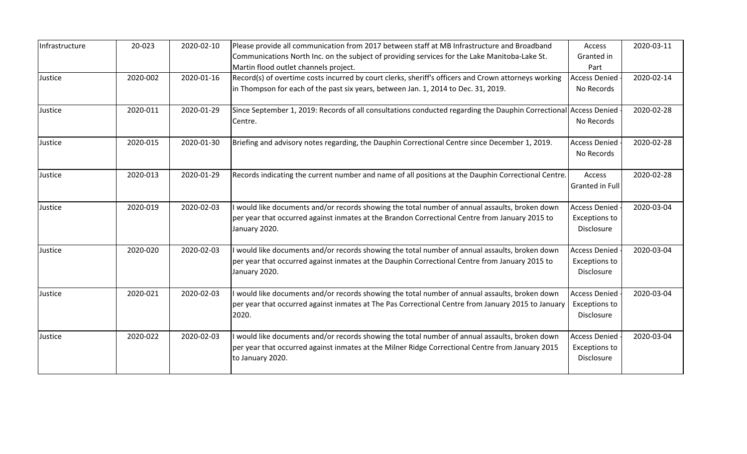| Infrastructure | 20-023   | 2020-02-10 | Please provide all communication from 2017 between staff at MB Infrastructure and Broadband                          | Access                             | 2020-03-11 |
|----------------|----------|------------|----------------------------------------------------------------------------------------------------------------------|------------------------------------|------------|
|                |          |            | Communications North Inc. on the subject of providing services for the Lake Manitoba-Lake St.                        | Granted in                         |            |
|                |          |            | Martin flood outlet channels project.                                                                                | Part                               |            |
| Justice        | 2020-002 | 2020-01-16 | Record(s) of overtime costs incurred by court clerks, sheriff's officers and Crown attorneys working                 | <b>Access Denied</b>               | 2020-02-14 |
|                |          |            | in Thompson for each of the past six years, between Jan. 1, 2014 to Dec. 31, 2019.                                   | No Records                         |            |
| Justice        | 2020-011 | 2020-01-29 | Since September 1, 2019: Records of all consultations conducted regarding the Dauphin Correctional Access Denied     |                                    | 2020-02-28 |
|                |          |            | Centre.                                                                                                              | No Records                         |            |
| Justice        | 2020-015 | 2020-01-30 | Briefing and advisory notes regarding, the Dauphin Correctional Centre since December 1, 2019.                       | <b>Access Denied</b>               | 2020-02-28 |
|                |          |            |                                                                                                                      | No Records                         |            |
| Justice        | 2020-013 | 2020-01-29 | Records indicating the current number and name of all positions at the Dauphin Correctional Centre.                  | Access                             | 2020-02-28 |
|                |          |            |                                                                                                                      | Granted in Full                    |            |
| Justice        | 2020-019 | 2020-02-03 | I would like documents and/or records showing the total number of annual assaults, broken down                       | <b>Access Denied</b>               | 2020-03-04 |
|                |          |            | per year that occurred against inmates at the Brandon Correctional Centre from January 2015 to<br>January 2020.      | <b>Exceptions to</b><br>Disclosure |            |
| Justice        | 2020-020 | 2020-02-03 | I would like documents and/or records showing the total number of annual assaults, broken down                       | <b>Access Denied</b>               | 2020-03-04 |
|                |          |            | per year that occurred against inmates at the Dauphin Correctional Centre from January 2015 to                       | <b>Exceptions to</b>               |            |
|                |          |            | January 2020.                                                                                                        | Disclosure                         |            |
| Justice        | 2020-021 | 2020-02-03 | I would like documents and/or records showing the total number of annual assaults, broken down                       | <b>Access Denied</b>               | 2020-03-04 |
|                |          |            | per year that occurred against inmates at The Pas Correctional Centre from January 2015 to January<br>2020.          | <b>Exceptions to</b><br>Disclosure |            |
|                |          |            |                                                                                                                      |                                    |            |
| Justice        | 2020-022 | 2020-02-03 | I would like documents and/or records showing the total number of annual assaults, broken down                       | <b>Access Denied</b>               | 2020-03-04 |
|                |          |            | per year that occurred against inmates at the Milner Ridge Correctional Centre from January 2015<br>to January 2020. | <b>Exceptions to</b><br>Disclosure |            |
|                |          |            |                                                                                                                      |                                    |            |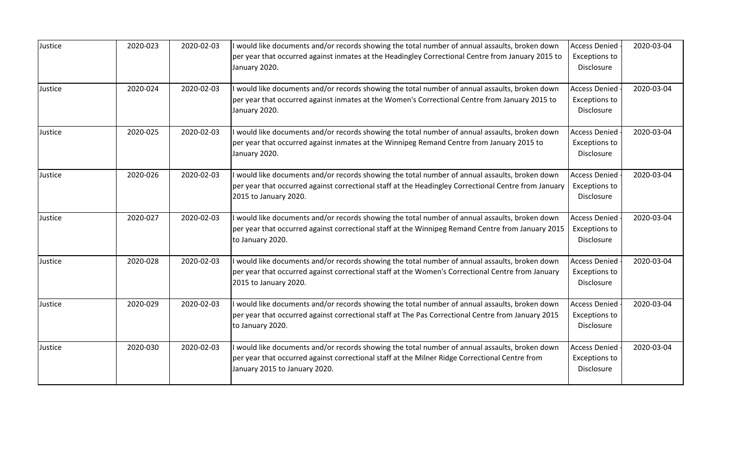| Justice | 2020-023 | 2020-02-03 | I would like documents and/or records showing the total number of annual assaults, broken down                                                                                                                                  | <b>Access Denied</b>                                       | 2020-03-04 |
|---------|----------|------------|---------------------------------------------------------------------------------------------------------------------------------------------------------------------------------------------------------------------------------|------------------------------------------------------------|------------|
|         |          |            | per year that occurred against inmates at the Headingley Correctional Centre from January 2015 to<br>January 2020.                                                                                                              | <b>Exceptions to</b><br>Disclosure                         |            |
| Justice | 2020-024 | 2020-02-03 | I would like documents and/or records showing the total number of annual assaults, broken down<br>per year that occurred against inmates at the Women's Correctional Centre from January 2015 to<br>January 2020.               | <b>Access Denied</b><br><b>Exceptions to</b><br>Disclosure | 2020-03-04 |
| Justice | 2020-025 | 2020-02-03 | I would like documents and/or records showing the total number of annual assaults, broken down<br>per year that occurred against inmates at the Winnipeg Remand Centre from January 2015 to<br>January 2020.                    | <b>Access Denied</b><br><b>Exceptions to</b><br>Disclosure | 2020-03-04 |
| Justice | 2020-026 | 2020-02-03 | I would like documents and/or records showing the total number of annual assaults, broken down<br>per year that occurred against correctional staff at the Headingley Correctional Centre from January<br>2015 to January 2020. | <b>Access Denied</b><br><b>Exceptions to</b><br>Disclosure | 2020-03-04 |
| Justice | 2020-027 | 2020-02-03 | would like documents and/or records showing the total number of annual assaults, broken down<br>per year that occurred against correctional staff at the Winnipeg Remand Centre from January 2015<br>to January 2020.           | <b>Access Denied</b><br>Exceptions to<br>Disclosure        | 2020-03-04 |
| Justice | 2020-028 | 2020-02-03 | I would like documents and/or records showing the total number of annual assaults, broken down<br>per year that occurred against correctional staff at the Women's Correctional Centre from January<br>2015 to January 2020.    | <b>Access Denied</b><br><b>Exceptions to</b><br>Disclosure | 2020-03-04 |
| Justice | 2020-029 | 2020-02-03 | I would like documents and/or records showing the total number of annual assaults, broken down<br>per year that occurred against correctional staff at The Pas Correctional Centre from January 2015<br>to January 2020.        | <b>Access Denied</b><br><b>Exceptions to</b><br>Disclosure | 2020-03-04 |
| Justice | 2020-030 | 2020-02-03 | would like documents and/or records showing the total number of annual assaults, broken down<br>per year that occurred against correctional staff at the Milner Ridge Correctional Centre from<br>January 2015 to January 2020. | <b>Access Denied</b><br><b>Exceptions to</b><br>Disclosure | 2020-03-04 |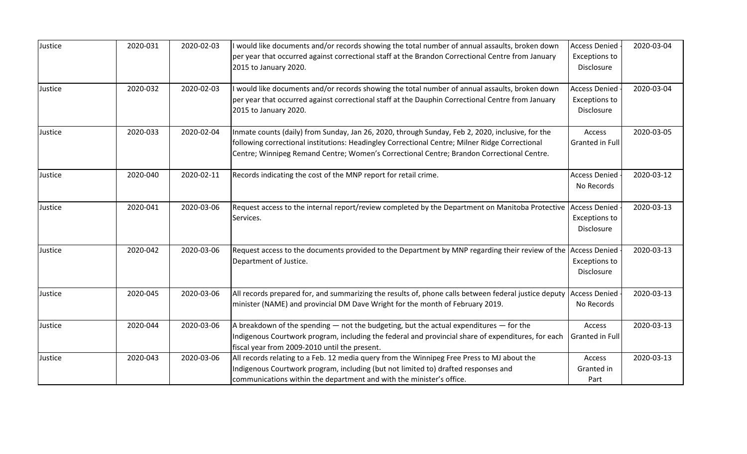| Justice | 2020-031 | 2020-02-03 | I would like documents and/or records showing the total number of annual assaults, broken down                                                                                                                                                                                                  | <b>Access Denied</b>                                       | 2020-03-04 |
|---------|----------|------------|-------------------------------------------------------------------------------------------------------------------------------------------------------------------------------------------------------------------------------------------------------------------------------------------------|------------------------------------------------------------|------------|
|         |          |            | per year that occurred against correctional staff at the Brandon Correctional Centre from January<br>2015 to January 2020.                                                                                                                                                                      | Exceptions to<br>Disclosure                                |            |
| Justice | 2020-032 | 2020-02-03 | I would like documents and/or records showing the total number of annual assaults, broken down<br>per year that occurred against correctional staff at the Dauphin Correctional Centre from January<br>2015 to January 2020.                                                                    | <b>Access Denied</b><br><b>Exceptions to</b><br>Disclosure | 2020-03-04 |
| Justice | 2020-033 | 2020-02-04 | Inmate counts (daily) from Sunday, Jan 26, 2020, through Sunday, Feb 2, 2020, inclusive, for the<br>following correctional institutions: Headingley Correctional Centre; Milner Ridge Correctional<br>Centre; Winnipeg Remand Centre; Women's Correctional Centre; Brandon Correctional Centre. | Access<br>Granted in Full                                  | 2020-03-05 |
| Justice | 2020-040 | 2020-02-11 | Records indicating the cost of the MNP report for retail crime.                                                                                                                                                                                                                                 | <b>Access Denied</b><br>No Records                         | 2020-03-12 |
| Justice | 2020-041 | 2020-03-06 | Request access to the internal report/review completed by the Department on Manitoba Protective<br>Services.                                                                                                                                                                                    | <b>Access Denied</b><br><b>Exceptions to</b><br>Disclosure | 2020-03-13 |
| Justice | 2020-042 | 2020-03-06 | Request access to the documents provided to the Department by MNP regarding their review of the Access Denied<br>Department of Justice.                                                                                                                                                         | <b>Exceptions to</b><br>Disclosure                         | 2020-03-13 |
| Justice | 2020-045 | 2020-03-06 | All records prepared for, and summarizing the results of, phone calls between federal justice deputy Access Denied<br>minister (NAME) and provincial DM Dave Wright for the month of February 2019.                                                                                             | No Records                                                 | 2020-03-13 |
| Justice | 2020-044 | 2020-03-06 | A breakdown of the spending - not the budgeting, but the actual expenditures - for the<br>Indigenous Courtwork program, including the federal and provincial share of expenditures, for each<br>fiscal year from 2009-2010 until the present.                                                   | Access<br>Granted in Full                                  | 2020-03-13 |
| Justice | 2020-043 | 2020-03-06 | All records relating to a Feb. 12 media query from the Winnipeg Free Press to MJ about the<br>Indigenous Courtwork program, including (but not limited to) drafted responses and<br>communications within the department and with the minister's office.                                        | Access<br>Granted in<br>Part                               | 2020-03-13 |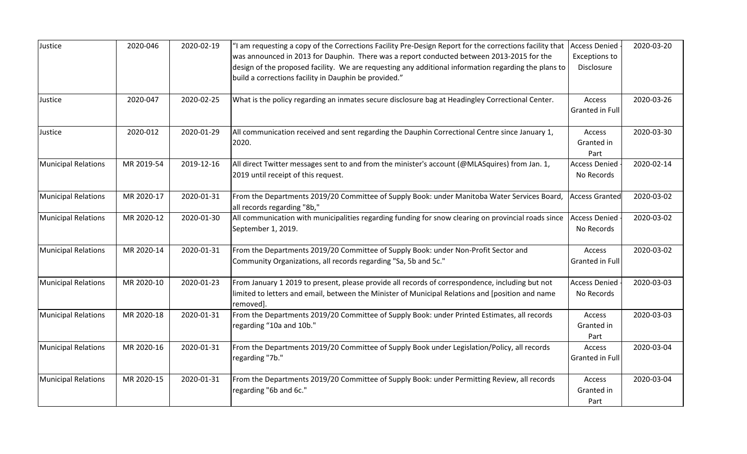| Justice                    | 2020-046   | 2020-02-19 | "I am requesting a copy of the Corrections Facility Pre-Design Report for the corrections facility that  Access Denied<br>was announced in 2013 for Dauphin. There was a report conducted between 2013-2015 for the<br>design of the proposed facility. We are requesting any additional information regarding the plans to | <b>Exceptions to</b><br>Disclosure | 2020-03-20 |
|----------------------------|------------|------------|-----------------------------------------------------------------------------------------------------------------------------------------------------------------------------------------------------------------------------------------------------------------------------------------------------------------------------|------------------------------------|------------|
|                            |            |            | build a corrections facility in Dauphin be provided."                                                                                                                                                                                                                                                                       |                                    |            |
| Justice                    | 2020-047   | 2020-02-25 | What is the policy regarding an inmates secure disclosure bag at Headingley Correctional Center.                                                                                                                                                                                                                            | Access<br>Granted in Full          | 2020-03-26 |
| Justice                    | 2020-012   | 2020-01-29 | All communication received and sent regarding the Dauphin Correctional Centre since January 1,<br>2020.                                                                                                                                                                                                                     | Access<br>Granted in<br>Part       | 2020-03-30 |
| <b>Municipal Relations</b> | MR 2019-54 | 2019-12-16 | All direct Twitter messages sent to and from the minister's account (@MLASquires) from Jan. 1,<br>2019 until receipt of this request.                                                                                                                                                                                       | <b>Access Denied</b><br>No Records | 2020-02-14 |
| <b>Municipal Relations</b> | MR 2020-17 | 2020-01-31 | From the Departments 2019/20 Committee of Supply Book: under Manitoba Water Services Board,<br>all records regarding "8b,"                                                                                                                                                                                                  | <b>Access Granted</b>              | 2020-03-02 |
| <b>Municipal Relations</b> | MR 2020-12 | 2020-01-30 | All communication with municipalities regarding funding for snow clearing on provincial roads since<br>September 1, 2019.                                                                                                                                                                                                   | <b>Access Denied</b><br>No Records | 2020-03-02 |
| <b>Municipal Relations</b> | MR 2020-14 | 2020-01-31 | From the Departments 2019/20 Committee of Supply Book: under Non-Profit Sector and<br>Community Organizations, all records regarding "Sa, 5b and 5c."                                                                                                                                                                       | Access<br>Granted in Full          | 2020-03-02 |
| <b>Municipal Relations</b> | MR 2020-10 | 2020-01-23 | From January 1 2019 to present, please provide all records of correspondence, including but not<br>limited to letters and email, between the Minister of Municipal Relations and [position and name<br>removed].                                                                                                            | <b>Access Denied</b><br>No Records | 2020-03-03 |
| <b>Municipal Relations</b> | MR 2020-18 | 2020-01-31 | From the Departments 2019/20 Committee of Supply Book: under Printed Estimates, all records<br>regarding "10a and 10b."                                                                                                                                                                                                     | Access<br>Granted in<br>Part       | 2020-03-03 |
| <b>Municipal Relations</b> | MR 2020-16 | 2020-01-31 | From the Departments 2019/20 Committee of Supply Book under Legislation/Policy, all records<br>regarding "7b."                                                                                                                                                                                                              | Access<br>Granted in Full          | 2020-03-04 |
| <b>Municipal Relations</b> | MR 2020-15 | 2020-01-31 | From the Departments 2019/20 Committee of Supply Book: under Permitting Review, all records<br>regarding "6b and 6c."                                                                                                                                                                                                       | Access<br>Granted in<br>Part       | 2020-03-04 |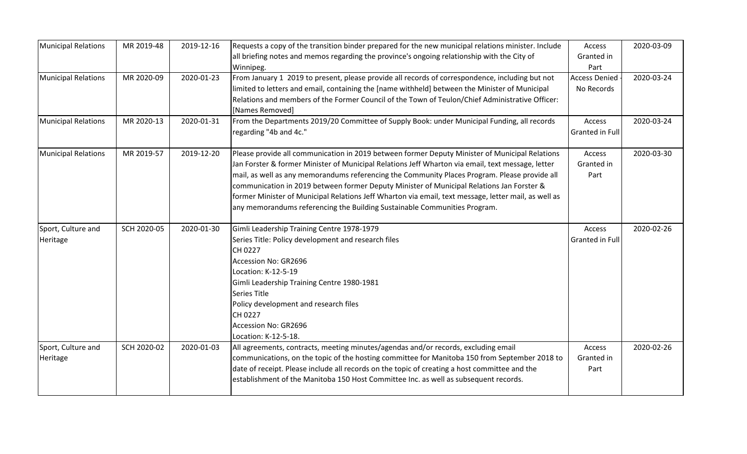| <b>Municipal Relations</b> | MR 2019-48  | 2019-12-16 | Requests a copy of the transition binder prepared for the new municipal relations minister. Include                | Access               | 2020-03-09 |
|----------------------------|-------------|------------|--------------------------------------------------------------------------------------------------------------------|----------------------|------------|
|                            |             |            | all briefing notes and memos regarding the province's ongoing relationship with the City of                        | Granted in           |            |
|                            |             |            | Winnipeg.                                                                                                          | Part                 |            |
| <b>Municipal Relations</b> | MR 2020-09  | 2020-01-23 | From January 1 2019 to present, please provide all records of correspondence, including but not                    | <b>Access Denied</b> | 2020-03-24 |
|                            |             |            | limited to letters and email, containing the [name withheld] between the Minister of Municipal                     | No Records           |            |
|                            |             |            | Relations and members of the Former Council of the Town of Teulon/Chief Administrative Officer:<br>[Names Removed] |                      |            |
| <b>Municipal Relations</b> | MR 2020-13  | 2020-01-31 | From the Departments 2019/20 Committee of Supply Book: under Municipal Funding, all records                        | Access               | 2020-03-24 |
|                            |             |            | regarding "4b and 4c."                                                                                             | Granted in Full      |            |
| <b>Municipal Relations</b> | MR 2019-57  | 2019-12-20 | Please provide all communication in 2019 between former Deputy Minister of Municipal Relations                     | Access               | 2020-03-30 |
|                            |             |            | Jan Forster & former Minister of Municipal Relations Jeff Wharton via email, text message, letter                  | Granted in           |            |
|                            |             |            | mail, as well as any memorandums referencing the Community Places Program. Please provide all                      | Part                 |            |
|                            |             |            | communication in 2019 between former Deputy Minister of Municipal Relations Jan Forster &                          |                      |            |
|                            |             |            | former Minister of Municipal Relations Jeff Wharton via email, text message, letter mail, as well as               |                      |            |
|                            |             |            | any memorandums referencing the Building Sustainable Communities Program.                                          |                      |            |
| Sport, Culture and         | SCH 2020-05 | 2020-01-30 | Gimli Leadership Training Centre 1978-1979                                                                         | Access               | 2020-02-26 |
| Heritage                   |             |            | Series Title: Policy development and research files                                                                | Granted in Full      |            |
|                            |             |            | CH 0227                                                                                                            |                      |            |
|                            |             |            | Accession No: GR2696                                                                                               |                      |            |
|                            |             |            | Location: K-12-5-19                                                                                                |                      |            |
|                            |             |            | Gimli Leadership Training Centre 1980-1981                                                                         |                      |            |
|                            |             |            | Series Title                                                                                                       |                      |            |
|                            |             |            | Policy development and research files                                                                              |                      |            |
|                            |             |            | CH 0227                                                                                                            |                      |            |
|                            |             |            | Accession No: GR2696                                                                                               |                      |            |
|                            |             |            | Location: K-12-5-18.                                                                                               |                      |            |
| Sport, Culture and         | SCH 2020-02 | 2020-01-03 | All agreements, contracts, meeting minutes/agendas and/or records, excluding email                                 | Access               | 2020-02-26 |
| Heritage                   |             |            | communications, on the topic of the hosting committee for Manitoba 150 from September 2018 to                      | Granted in           |            |
|                            |             |            | date of receipt. Please include all records on the topic of creating a host committee and the                      | Part                 |            |
|                            |             |            | establishment of the Manitoba 150 Host Committee Inc. as well as subsequent records.                               |                      |            |
|                            |             |            |                                                                                                                    |                      |            |